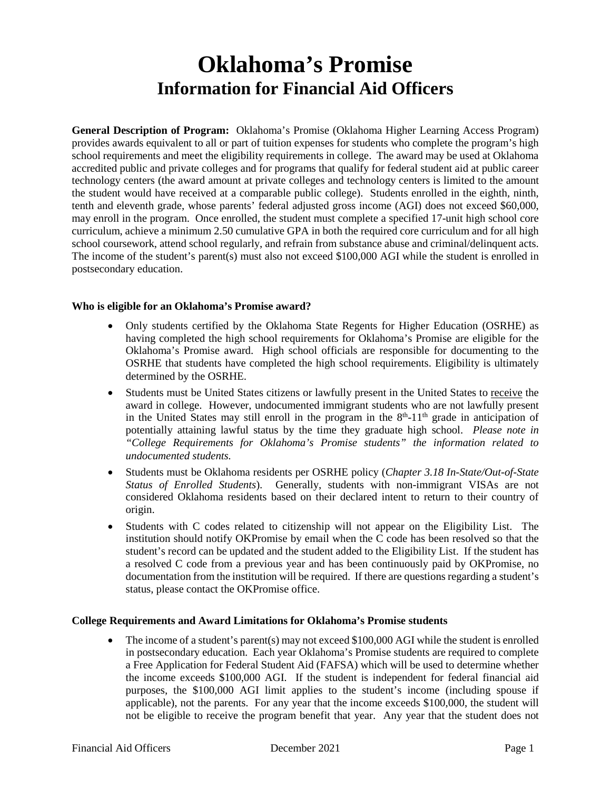# **Oklahoma's Promise Information for Financial Aid Officers**

 **General Description of Program:** Oklahoma's Promise (Oklahoma Higher Learning Access Program) provides awards equivalent to all or part of tuition expenses for students who complete the program's high technology centers (the award amount at private colleges and technology centers is limited to the amount tenth and eleventh grade, whose parents' federal adjusted gross income (AGI) does not exceed \$60,000, may enroll in the program. Once enrolled, the student must complete a specified 17-unit high school core school coursework, attend school regularly, and refrain from substance abuse and criminal/delinquent acts. The income of the student's parent(s) must also not exceed \$100,000 AGI while the student is enrolled in school requirements and meet the eligibility requirements in college. The award may be used at Oklahoma accredited public and private colleges and for programs that qualify for federal student aid at public career the student would have received at a comparable public college). Students enrolled in the eighth, ninth, curriculum, achieve a minimum 2.50 cumulative GPA in both the required core curriculum and for all high postsecondary education.

# **Who is eligible for an Oklahoma's Promise award?**

- determined by the OSRHE. • Only students certified by the Oklahoma State Regents for Higher Education (OSRHE) as having completed the high school requirements for Oklahoma's Promise are eligible for the Oklahoma's Promise award. High school officials are responsible for documenting to the OSRHE that students have completed the high school requirements. Eligibility is ultimately
- Students must be United States citizens or lawfully present in the United States to receive the award in college. However, undocumented immigrant students who are not lawfully present in the United States may still enroll in the program in the  $8<sup>th</sup>$ -11<sup>th</sup> grade in anticipation of potentially attaining lawful status by the time they graduate high school. *Please note in "College Requirements for Oklahoma's Promise students" the information related to undocumented students.*
- Students must be Oklahoma residents per OSRHE policy (*Chapter 3.18 In-State/Out-of-State Status of Enrolled Students*). Generally, students with non-immigrant VISAs are not considered Oklahoma residents based on their declared intent to return to their country of origin.
- • Students with C codes related to citizenship will not appear on the Eligibility List. The institution should notify OKPromise by email when the C code has been resolved so that the a resolved C code from a previous year and has been continuously paid by OKPromise, no documentation from the institution will be required. If there are questions regarding a student's student's record can be updated and the student added to the Eligibility List. If the student has status, please contact the OKPromise office.

## **College Requirements and Award Limitations for Oklahoma's Promise students**

• The income of a student's parent(s) may not exceed \$100,000 AGI while the student is enrolled in postsecondary education. Each year Oklahoma's Promise students are required to complete applicable), not the parents. For any year that the income exceeds \$100,000, the student will a Free Application for Federal Student Aid (FAFSA) which will be used to determine whether the income exceeds \$100,000 AGI. If the student is independent for federal financial aid purposes, the \$100,000 AGI limit applies to the student's income (including spouse if not be eligible to receive the program benefit that year. Any year that the student does not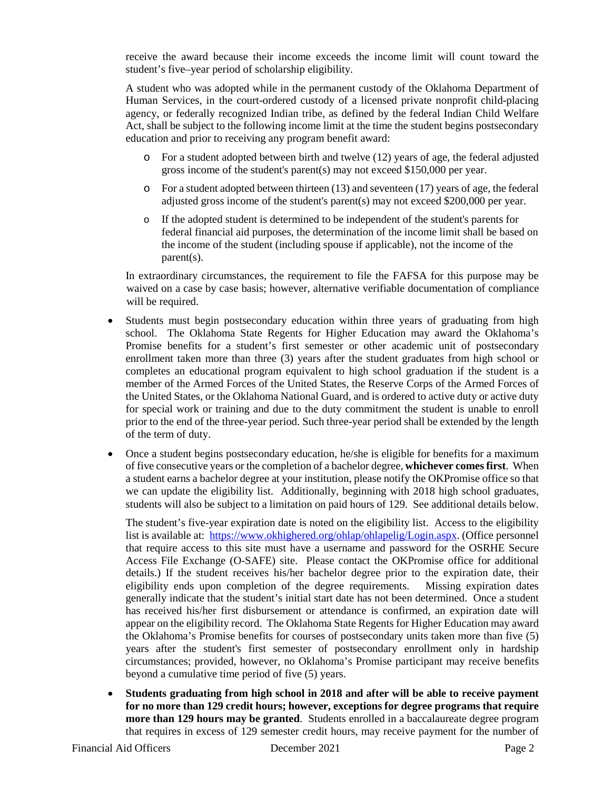student's five–year period of scholarship eligibility. receive the award because their income exceeds the income limit will count toward the

 A student who was adopted while in the permanent custody of the Oklahoma Department of Human Services, in the court-ordered custody of a licensed private nonprofit child-placing Act, shall be subject to the following income limit at the time the student begins postsecondary education and prior to receiving any program benefit award: agency, or federally recognized Indian tribe, as defined by the federal Indian Child Welfare

- o For a student adopted between birth and twelve (12) years of age, the federal adjusted gross income of the student's parent(s) may not exceed \$150,000 per year.
- adjusted gross income of the student's parent(s) may not exceed \$200,000 per year. o For a student adopted between thirteen (13) and seventeen (17) years of age, the federal
- o If the adopted student is determined to be independent of the student's parents for the income of the student (including spouse if applicable), not the income of the federal financial aid purposes, the determination of the income limit shall be based on parent(s).

 waived on a case by case basis; however, alternative verifiable documentation of compliance In extraordinary circumstances, the requirement to file the FAFSA for this purpose may be will be required.

- school. The Oklahoma State Regents for Higher Education may award the Oklahoma's Promise benefits for a student's first semester or other academic unit of postsecondary enrollment taken more than three (3) years after the student graduates from high school or completes an educational program equivalent to high school graduation if the student is a member of the Armed Forces of the United States, the Reserve Corps of the Armed Forces of prior to the end of the three-year period. Such three-year period shall be extended by the length • Students must begin postsecondary education within three years of graduating from high the United States, or the Oklahoma National Guard, and is ordered to active duty or active duty for special work or training and due to the duty commitment the student is unable to enroll of the term of duty.
- of five consecutive years or the completion of a bachelor degree, **whichever comes first**. When a student earns a bachelor degree at your institution, please notify the OKPromise office so that we can update the eligibility list. Additionally, beginning with 2018 high school graduates, • Once a student begins postsecondary education, he/she is eligible for benefits for a maximum students will also be subject to a limitation on paid hours of 129. See additional details below.

 The student's five-year expiration date is noted on the eligibility list. Access to the eligibility list is available at: [https://www.okhighered.org/ohlap/ohlapelig/Login.aspx.](https://www.okhighered.org/ohlap/ohlapelig/Login.aspx) (Office personnel has received his/her first disbursement or attendance is confirmed, an expiration date will appear on the eligibility record. The Oklahoma State Regents for Higher Education may award the Oklahoma's Promise benefits for courses of postsecondary units taken more than five (5) that require access to this site must have a username and password for the OSRHE Secure Access File Exchange (O-SAFE) site. Please contact the OKPromise office for additional details.) If the student receives his/her bachelor degree prior to the expiration date, their eligibility ends upon completion of the degree requirements. Missing expiration dates generally indicate that the student's initial start date has not been determined. Once a student years after the student's first semester of postsecondary enrollment only in hardship circumstances; provided, however, no Oklahoma's Promise participant may receive benefits beyond a cumulative time period of five (5) years.

 • **Students graduating from high school in 2018 and after will be able to receive payment more than 129 hours may be granted**. Students enrolled in a baccalaureate degree program **for no more than 129 credit hours; however, exceptions for degree programs that require**  that requires in excess of 129 semester credit hours, may receive payment for the number of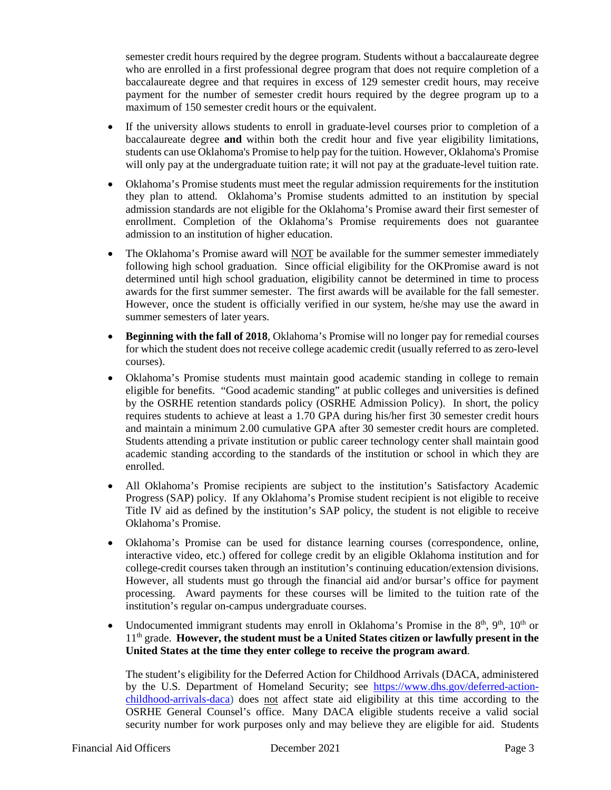who are enrolled in a first professional degree program that does not require completion of a baccalaureate degree and that requires in excess of 129 semester credit hours, may receive maximum of 150 semester credit hours or the equivalent. semester credit hours required by the degree program. Students without a baccalaureate degree payment for the number of semester credit hours required by the degree program up to a

- • If the university allows students to enroll in graduate-level courses prior to completion of a will only pay at the undergraduate tuition rate; it will not pay at the graduate-level tuition rate. baccalaureate degree **and** within both the credit hour and five year eligibility limitations, students can use Oklahoma's Promise to help pay for the tuition. However, Oklahoma's Promise
- they plan to attend. Oklahoma's Promise students admitted to an institution by special admission standards are not eligible for the Oklahoma's Promise award their first semester of enrollment. Completion of the Oklahoma's Promise requirements does not guarantee • Oklahoma's Promise students must meet the regular admission requirements for the institution admission to an institution of higher education.
- The Oklahoma's Promise award will **NOT** be available for the summer semester immediately awards for the first summer semester. The first awards will be available for the fall semester. following high school graduation. Since official eligibility for the OKPromise award is not determined until high school graduation, eligibility cannot be determined in time to process However, once the student is officially verified in our system, he/she may use the award in summer semesters of later years.
- **Beginning with the fall of 2018**, Oklahoma's Promise will no longer pay for remedial courses for which the student does not receive college academic credit (usually referred to as zero-level courses).
- and maintain a minimum 2.00 cumulative GPA after 30 semester credit hours are completed. academic standing according to the standards of the institution or school in which they are • Oklahoma's Promise students must maintain good academic standing in college to remain eligible for benefits. "Good academic standing" at public colleges and universities is defined by the OSRHE retention standards policy (OSRHE Admission Policy). In short, the policy requires students to achieve at least a 1.70 GPA during his/her first 30 semester credit hours Students attending a private institution or public career technology center shall maintain good enrolled.
- • All Oklahoma's Promise recipients are subject to the institution's Satisfactory Academic Progress (SAP) policy. If any Oklahoma's Promise student recipient is not eligible to receive Title IV aid as defined by the institution's SAP policy, the student is not eligible to receive Oklahoma's Promise.
- • Oklahoma's Promise can be used for distance learning courses (correspondence, online, processing. Award payments for these courses will be limited to the tuition rate of the interactive video, etc.) offered for college credit by an eligible Oklahoma institution and for college-credit courses taken through an institution's continuing education/extension divisions. However, all students must go through the financial aid and/or bursar's office for payment institution's regular on-campus undergraduate courses.
- Undocumented immigrant students may enroll in Oklahoma's Promise in the  $8<sup>th</sup>$ ,  $9<sup>th</sup>$ ,  $10<sup>th</sup>$  or 11<sup>th</sup> grade. **However, the student must be a United States citizen or lawfully present in the United States at the time they enter college to receive the program award**.

[childhood-arrivals-daca\)](https://www.dhs.gov/deferred-action-childhood-arrivals-daca) does not affect state aid eligibility at this time according to the OSRHE General Counsel's office. Many DACA eligible students receive a valid social security number for work purposes only and may believe they are eligible for aid. Students The student's eligibility for the Deferred Action for Childhood Arrivals (DACA, administered by the U.S. Department of Homeland Security; see [https://www.dhs.gov/deferred-action-](https://www.dhs.gov/deferred-action-childhood-arrivals-daca)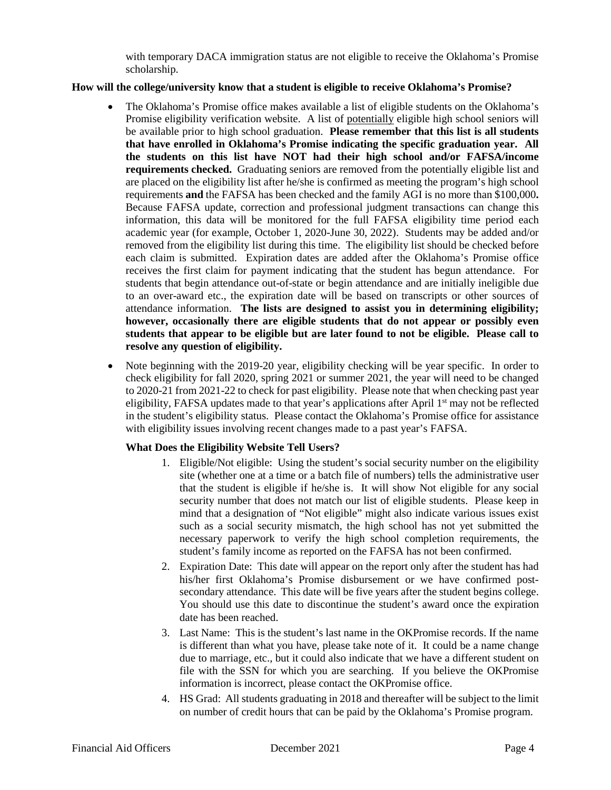with temporary DACA immigration status are not eligible to receive the Oklahoma's Promise scholarship.

## **How will the college/university know that a student is eligible to receive Oklahoma's Promise?**

- Promise eligibility verification website. A list of potentially eligible high school seniors will are placed on the eligibility list after he/she is confirmed as meeting the program's high school requirements **and** the FAFSA has been checked and the family AGI is no more than \$100,000**.**  Because FAFSA update, correction and professional judgment transactions can change this information, this data will be monitored for the full FAFSA eligibility time period each removed from the eligibility list during this time. The eligibility list should be checked before each claim is submitted. Expiration dates are added after the Oklahoma's Promise office receives the first claim for payment indicating that the student has begun attendance. For attendance information. **The lists are designed to assist you in determining eligibility; students that appear to be eligible but are later found to not be eligible. Please call to**  • The Oklahoma's Promise office makes available a list of eligible students on the Oklahoma's be available prior to high school graduation. **Please remember that this list is all students that have enrolled in Oklahoma's Promise indicating the specific graduation year. All the students on this list have NOT had their high school and/or FAFSA/income requirements checked.** Graduating seniors are removed from the potentially eligible list and academic year (for example, October 1, 2020-June 30, 2022). Students may be added and/or students that begin attendance out-of-state or begin attendance and are initially ineligible due to an over-award etc., the expiration date will be based on transcripts or other sources of **however, occasionally there are eligible students that do not appear or possibly even resolve any question of eligibility.**
- • Note beginning with the 2019-20 year, eligibility checking will be year specific. In order to to 2020-21 from 2021-22 to check for past eligibility. Please note that when checking past year eligibility, FAFSA updates made to that year's applications after April 1<sup>st</sup> may not be reflected check eligibility for fall 2020, spring 2021 or summer 2021, the year will need to be changed in the student's eligibility status. Please contact the Oklahoma's Promise office for assistance with eligibility issues involving recent changes made to a past year's FAFSA.

## **What Does the Eligibility Website Tell Users?**

- that the student is eligible if he/she is. It will show Not eligible for any social mind that a designation of "Not eligible" might also indicate various issues exist necessary paperwork to verify the high school completion requirements, the 1. Eligible/Not eligible: Using the student's social security number on the eligibility site (whether one at a time or a batch file of numbers) tells the administrative user security number that does not match our list of eligible students. Please keep in such as a social security mismatch, the high school has not yet submitted the student's family income as reported on the FAFSA has not been confirmed.
- 2. Expiration Date: This date will appear on the report only after the student has had his/her first Oklahoma's Promise disbursement or we have confirmed post- secondary attendance. This date will be five years after the student begins college. You should use this date to discontinue the student's award once the expiration date has been reached.
- 3. Last Name: This is the student's last name in the OKPromise records. If the name is different than what you have, please take note of it. It could be a name change due to marriage, etc., but it could also indicate that we have a different student on file with the SSN for which you are searching. If you believe the OKPromise information is incorrect, please contact the OKPromise office.
- 4. HS Grad: All students graduating in 2018 and thereafter will be subject to the limit on number of credit hours that can be paid by the Oklahoma's Promise program.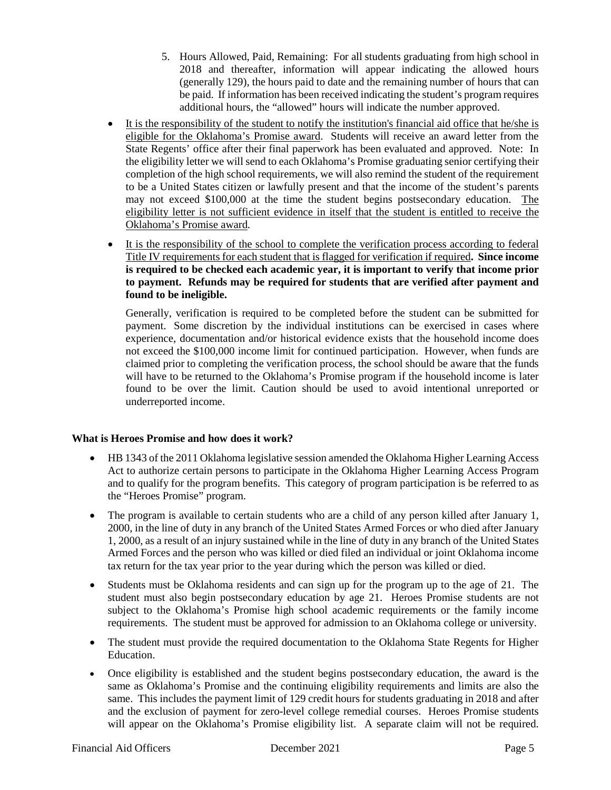- 5. Hours Allowed, Paid, Remaining: For all students graduating from high school in 2018 and thereafter, information will appear indicating the allowed hours (generally 129), the hours paid to date and the remaining number of hours that can be paid. If information has been received indicating the student's program requires additional hours, the "allowed" hours will indicate the number approved.
- It is the responsibility of the student to notify the institution's financial aid office that he/she is eligible for the Oklahoma's Promise award. Students will receive an award letter from the State Regents' office after their final paperwork has been evaluated and approved. Note: In the eligibility letter we will send to each Oklahoma's Promise graduating senior certifying their completion of the high school requirements, we will also remind the student of the requirement eligibility letter is not sufficient evidence in itself that the student is entitled to receive the to be a United States citizen or lawfully present and that the income of the student's parents may not exceed \$100,000 at the time the student begins postsecondary education. The Oklahoma's Promise award.
- Title IV requirements for each student that is flagged for verification if required**. Since income to payment. Refunds may be required for students that are verified after payment and**  • It is the responsibility of the school to complete the verification process according to federal **is required to be checked each academic year, it is important to verify that income prior found to be ineligible.**

 Generally, verification is required to be completed before the student can be submitted for not exceed the \$100,000 income limit for continued participation. However, when funds are will have to be returned to the Oklahoma's Promise program if the household income is later payment. Some discretion by the individual institutions can be exercised in cases where experience, documentation and/or historical evidence exists that the household income does claimed prior to completing the verification process, the school should be aware that the funds found to be over the limit. Caution should be used to avoid intentional unreported or underreported income.

# **What is Heroes Promise and how does it work?**

- the "Heroes Promise" program. • HB 1343 of the 2011 Oklahoma legislative session amended the Oklahoma Higher Learning Access Act to authorize certain persons to participate in the Oklahoma Higher Learning Access Program and to qualify for the program benefits. This category of program participation is be referred to as
- • The program is available to certain students who are a child of any person killed after January 1, 1, 2000, as a result of an injury sustained while in the line of duty in any branch of the United States 2000, in the line of duty in any branch of the United States Armed Forces or who died after January Armed Forces and the person who was killed or died filed an individual or joint Oklahoma income tax return for the tax year prior to the year during which the person was killed or died.
- • Students must be Oklahoma residents and can sign up for the program up to the age of 21. The requirements. The student must be approved for admission to an Oklahoma college or university. student must also begin postsecondary education by age 21. Heroes Promise students are not subject to the Oklahoma's Promise high school academic requirements or the family income
- • The student must provide the required documentation to the Oklahoma State Regents for Higher Education.
- same. This includes the payment limit of 129 credit hours for students graduating in 2018 and after will appear on the Oklahoma's Promise eligibility list. A separate claim will not be required. • Once eligibility is established and the student begins postsecondary education, the award is the same as Oklahoma's Promise and the continuing eligibility requirements and limits are also the and the exclusion of payment for zero-level college remedial courses. Heroes Promise students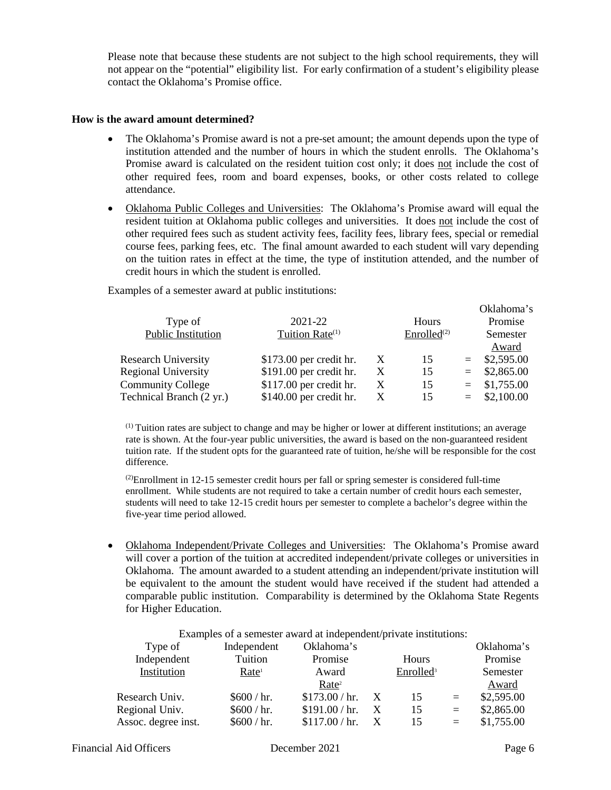Please note that because these students are not subject to the high school requirements, they will not appear on the "potential" eligibility list. For early confirmation of a student's eligibility please contact the Oklahoma's Promise office.

#### **How is the award amount determined?**

- institution attended and the number of hours in which the student enrolls. The Oklahoma's other required fees, room and board expenses, books, or other costs related to college • The Oklahoma's Promise award is not a pre-set amount; the amount depends upon the type of Promise award is calculated on the resident tuition cost only; it does not include the cost of attendance.
- Oklahoma Public Colleges and Universities: The Oklahoma's Promise award will equal the other required fees such as student activity fees, facility fees, library fees, special or remedial course fees, parking fees, etc. The final amount awarded to each student will vary depending on the tuition rates in effect at the time, the type of institution attended, and the number of credit hours in which the student is enrolled. resident tuition at Oklahoma public colleges and universities. It does not include the cost of

Examples of a semester award at public institutions:

| Type of                                              | 2021-22                                              |        | Hours                   | Оліаноніа б<br>Promise |                                  |  |
|------------------------------------------------------|------------------------------------------------------|--------|-------------------------|------------------------|----------------------------------|--|
| Public Institution                                   | Tuition Rate <sup>(1)</sup>                          |        | Enrolled <sup>(2)</sup> |                        | Semester<br>Award                |  |
| <b>Research University</b>                           | $$173.00$ per credit hr.                             | X      | 15                      | $=$ $-$                | \$2,595.00                       |  |
| <b>Regional University</b>                           | \$191.00 per credit hr.                              | X      | 15                      |                        | $=$ \$2,865.00                   |  |
| <b>Community College</b><br>Technical Branch (2 yr.) | $$117.00$ per credit hr.<br>$$140.00$ per credit hr. | X<br>X | 15<br>15                |                        | $=$ \$1,755.00<br>$=$ \$2,100.00 |  |
|                                                      |                                                      |        |                         |                        |                                  |  |

 $<sup>(1)</sup>$  Tuition rates are subject to change and may be higher or lower at different institutions; an average</sup> rate is shown. At the four-year public universities, the award is based on the non-guaranteed resident difference. tuition rate. If the student opts for the guaranteed rate of tuition, he/she will be responsible for the cost

 $^{(2)}$ Enrollment in 12-15 semester credit hours per fall or spring semester is considered full-time enrollment. While students are not required to take a certain number of credit hours each semester, students will need to take 12-15 credit hours per semester to complete a bachelor's degree within the five-year time period allowed.

 will cover a portion of the tuition at accredited independent/private colleges or universities in be equivalent to the amount the student would have received if the student had attended a • Oklahoma Independent/Private Colleges and Universities: The Oklahoma's Promise award Oklahoma. The amount awarded to a student attending an independent/private institution will comparable public institution. Comparability is determined by the Oklahoma State Regents for Higher Education.

| Examples of a semester award at independent/private institutions: |                   |                   |                  |                       |     |            |  |
|-------------------------------------------------------------------|-------------------|-------------------|------------------|-----------------------|-----|------------|--|
| Type of                                                           | Independent       | Oklahoma's        |                  |                       |     | Oklahoma's |  |
| Independent                                                       | Tuition           | Promise           |                  | Hours                 |     | Promise    |  |
| Institution                                                       | Rate <sup>1</sup> | Award             |                  | Enrolled <sup>3</sup> |     | Semester   |  |
|                                                                   |                   | Rate <sup>2</sup> |                  |                       |     | Award      |  |
| Research Univ.                                                    | \$600 / hr.       | \$173.00 / hr.    | $\mathbf{X}$     | 15                    | $=$ | \$2,595.00 |  |
| Regional Univ.                                                    | \$600 / hr.       | \$191.00 / hr.    | $\boldsymbol{X}$ | 15                    | $=$ | \$2,865.00 |  |
| Assoc. degree inst.                                               | \$600 / hr.       | \$117.00 / hr.    |                  | 15                    | $=$ | \$1,755.00 |  |

#### Examples of a semester award at independent/private institutions:

 $O<sub>1</sub>1<sub>0</sub>h<sub>0</sub>$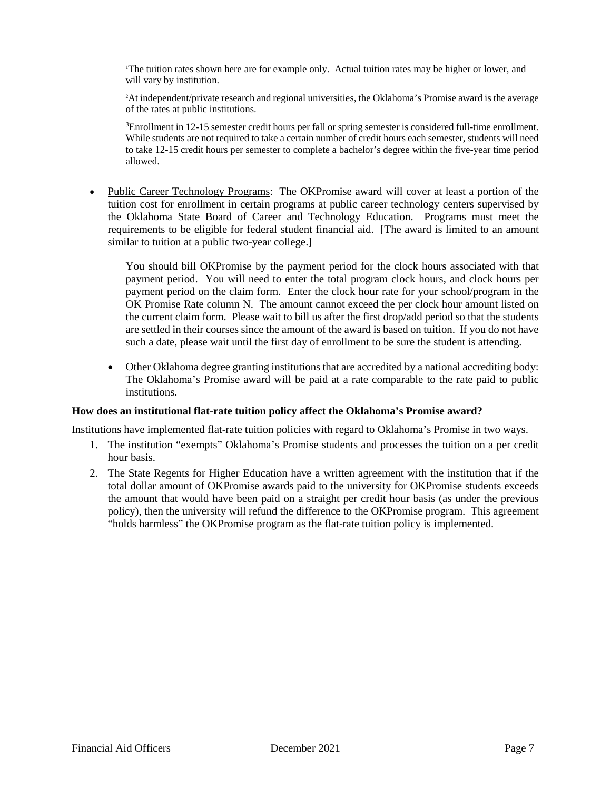1 The tuition rates shown here are for example only. Actual tuition rates may be higher or lower, and will vary by institution.

2 At independent/private research and regional universities, the Oklahoma's Promise award is the average of the rates at public institutions.

<sup>3</sup>Enrollment in 12-15 semester credit hours per fall or spring semester is considered full-time enrollment.  ${}^{3}$ Enrollment in 12-15 semester credit hours per fall or spring semester is considered full-time enrollment.<br>While students are not required to take a certain number of credit hours each semester, students will need to take 12-15 credit hours per semester to complete a bachelor's degree within the five-year time period allowed.

• Public Career Technology Programs: The OKPromise award will cover at least a portion of the requirements to be eligible for federal student financial aid. [The award is limited to an amount similar to tuition at a public two-year college.] tuition cost for enrollment in certain programs at public career technology centers supervised by the Oklahoma State Board of Career and Technology Education. Programs must meet the

 payment period. You will need to enter the total program clock hours, and clock hours per payment period on the claim form. Enter the clock hour rate for your school/program in the OK Promise Rate column N. The amount cannot exceed the per clock hour amount listed on the current claim form. Please wait to bill us after the first drop/add period so that the students are settled in their courses since the amount of the award is based on tuition. If you do not have You should bill OKPromise by the payment period for the clock hours associated with that such a date, please wait until the first day of enrollment to be sure the student is attending.

• Other Oklahoma degree granting institutions that are accredited by a national accrediting body: The Oklahoma's Promise award will be paid at a rate comparable to the rate paid to public institutions.

## **How does an institutional flat-rate tuition policy affect the Oklahoma's Promise award?**

Institutions have implemented flat-rate tuition policies with regard to Oklahoma's Promise in two ways.

- 1. The institution "exempts" Oklahoma's Promise students and processes the tuition on a per credit hour basis.
- 2. The State Regents for Higher Education have a written agreement with the institution that if the total dollar amount of OKPromise awards paid to the university for OKPromise students exceeds the amount that would have been paid on a straight per credit hour basis (as under the previous policy), then the university will refund the difference to the OKPromise program. This agreement "holds harmless" the OKPromise program as the flat-rate tuition policy is implemented.